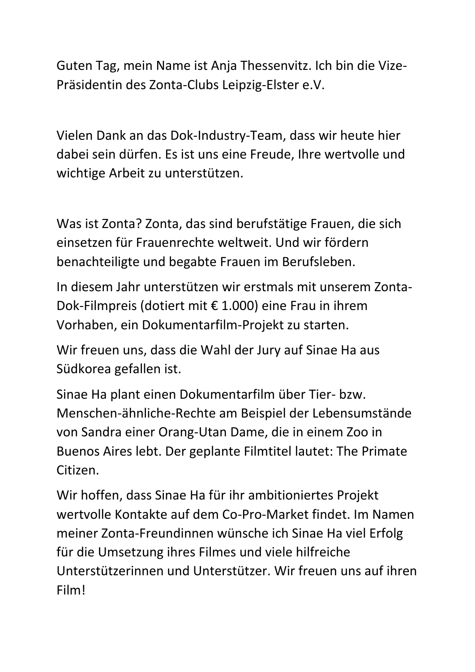Guten Tag, mein Name ist Anja Thessenvitz. Ich bin die Vize-Präsidentin des Zonta-Clubs Leipzig-Elster e.V.

Vielen Dank an das Dok-Industry-Team, dass wir heute hier dabei sein dürfen. Es ist uns eine Freude, Ihre wertvolle und wichtige Arbeit zu unterstützen.

Was ist Zonta? Zonta, das sind berufstätige Frauen, die sich einsetzen für Frauenrechte weltweit. Und wir fördern benachteiligte und begabte Frauen im Berufsleben.

In diesem Jahr unterstützen wir erstmals mit unserem Zonta-Dok-Filmpreis (dotiert mit € 1.000) eine Frau in ihrem Vorhaben, ein Dokumentarfilm-Projekt zu starten.

Wir freuen uns, dass die Wahl der Jury auf Sinae Ha aus Südkorea gefallen ist.

Sinae Ha plant einen Dokumentarfilm über Tier- bzw. Menschen-ähnliche-Rechte am Beispiel der Lebensumstände von Sandra einer Orang-Utan Dame, die in einem Zoo in Buenos Aires lebt. Der geplante Filmtitel lautet: The Primate Citizen.

Wir hoffen, dass Sinae Ha für ihr ambitioniertes Projekt wertvolle Kontakte auf dem Co-Pro-Market findet. Im Namen meiner Zonta-Freundinnen wünsche ich Sinae Ha viel Erfolg für die Umsetzung ihres Filmes und viele hilfreiche Unterstützerinnen und Unterstützer. Wir freuen uns auf ihren Film!